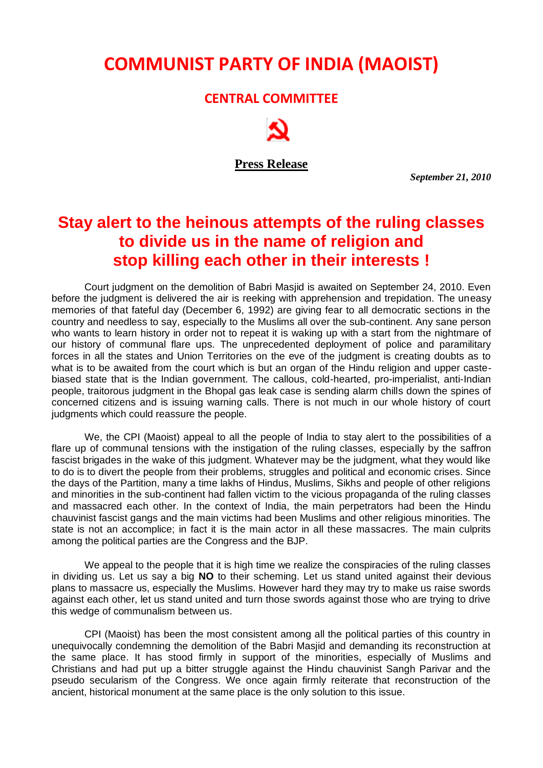## **COMMUNIST PARTY OF INDIA (MAOIST)**

## **CENTRAL COMMITTEE**

**Press Release**

 *September 21, 2010*

## **Stay alert to the heinous attempts of the ruling classes to divide us in the name of religion and stop killing each other in their interests !**

Court judgment on the demolition of Babri Masjid is awaited on September 24, 2010. Even before the judgment is delivered the air is reeking with apprehension and trepidation. The uneasy memories of that fateful day (December 6, 1992) are giving fear to all democratic sections in the country and needless to say, especially to the Muslims all over the sub-continent. Any sane person who wants to learn history in order not to repeat it is waking up with a start from the nightmare of our history of communal flare ups. The unprecedented deployment of police and paramilitary forces in all the states and Union Territories on the eve of the judgment is creating doubts as to what is to be awaited from the court which is but an organ of the Hindu religion and upper castebiased state that is the Indian government. The callous, cold-hearted, pro-imperialist, anti-Indian people, traitorous judgment in the Bhopal gas leak case is sending alarm chills down the spines of concerned citizens and is issuing warning calls. There is not much in our whole history of court judgments which could reassure the people.

We, the CPI (Maoist) appeal to all the people of India to stay alert to the possibilities of a flare up of communal tensions with the instigation of the ruling classes, especially by the saffron fascist brigades in the wake of this judgment. Whatever may be the judgment, what they would like to do is to divert the people from their problems, struggles and political and economic crises. Since the days of the Partition, many a time lakhs of Hindus, Muslims, Sikhs and people of other religions and minorities in the sub-continent had fallen victim to the vicious propaganda of the ruling classes and massacred each other. In the context of India, the main perpetrators had been the Hindu chauvinist fascist gangs and the main victims had been Muslims and other religious minorities. The state is not an accomplice; in fact it is the main actor in all these massacres. The main culprits among the political parties are the Congress and the BJP.

We appeal to the people that it is high time we realize the conspiracies of the ruling classes in dividing us. Let us say a big **NO** to their scheming. Let us stand united against their devious plans to massacre us, especially the Muslims. However hard they may try to make us raise swords against each other, let us stand united and turn those swords against those who are trying to drive this wedge of communalism between us.

CPI (Maoist) has been the most consistent among all the political parties of this country in unequivocally condemning the demolition of the Babri Masjid and demanding its reconstruction at the same place. It has stood firmly in support of the minorities, especially of Muslims and Christians and had put up a bitter struggle against the Hindu chauvinist Sangh Parivar and the pseudo secularism of the Congress. We once again firmly reiterate that reconstruction of the ancient, historical monument at the same place is the only solution to this issue.